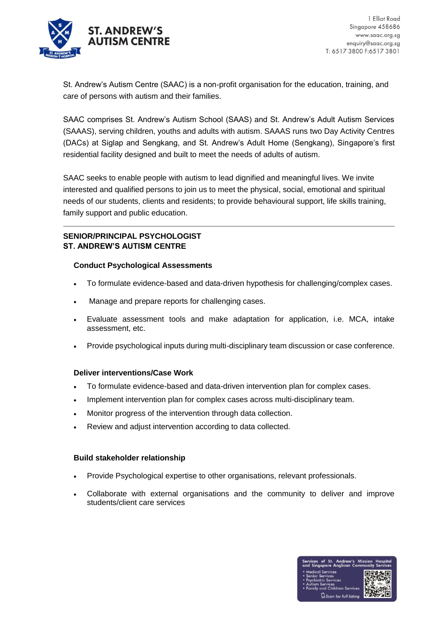

St. Andrew's Autism Centre (SAAC) is a non-profit organisation for the education, training, and care of persons with autism and their families.

SAAC comprises St. Andrew's Autism School (SAAS) and St. Andrew's Adult Autism Services (SAAAS), serving children, youths and adults with autism. SAAAS runs two Day Activity Centres (DACs) at Siglap and Sengkang, and St. Andrew's Adult Home (Sengkang), Singapore's first residential facility designed and built to meet the needs of adults of autism.

SAAC seeks to enable people with autism to lead dignified and meaningful lives. We invite interested and qualified persons to join us to meet the physical, social, emotional and spiritual needs of our students, clients and residents; to provide behavioural support, life skills training, family support and public education.

# **SENIOR/PRINCIPAL PSYCHOLOGIST ST. ANDREW'S AUTISM CENTRE**

## **Conduct Psychological Assessments**

- To formulate evidence-based and data-driven hypothesis for challenging/complex cases.
- Manage and prepare reports for challenging cases.
- Evaluate assessment tools and make adaptation for application, i.e. MCA, intake assessment, etc.
- Provide psychological inputs during multi-disciplinary team discussion or case conference.

### **Deliver interventions/Case Work**

- To formulate evidence-based and data-driven intervention plan for complex cases.
- Implement intervention plan for complex cases across multi-disciplinary team.
- Monitor progress of the intervention through data collection.
- Review and adjust intervention according to data collected.

### **Build stakeholder relationship**

- Provide Psychological expertise to other organisations, relevant professionals.
- Collaborate with external organisations and the community to deliver and improve students/client care services